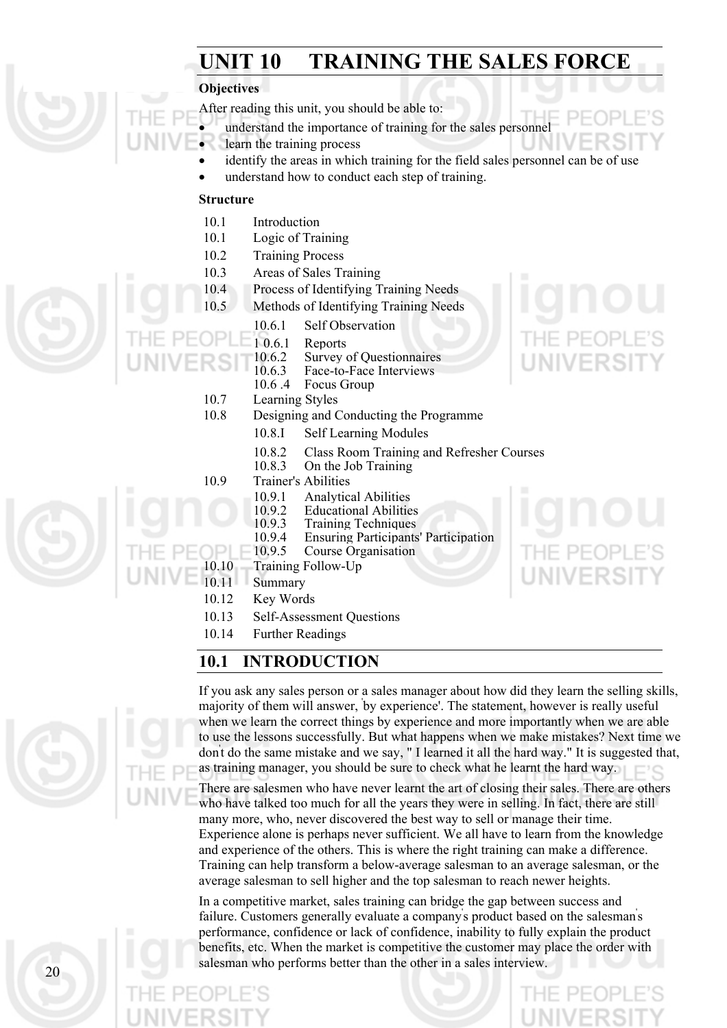## **UNIT 10 TRAINING THE SALES FORCE**

#### **Objectives**

After reading this unit, you should be able to:

- understand the importance of training for the sales personnel
- learn the training process
	- identify the areas in which training for the field sales personnel can be of use
- understand how to conduct each step of training.

#### **Structure**

•

- 10.1 Introduction
- 10.1 Logic of Training
- 10.2 Training Process
- 10.3 Areas of Sales Training
- 10.4 Process of Identifying Training Needs
- 10.5 Methods of Identifying Training Needs
	- 10.6.1 Self Observation
	- 1 0.6.1 Reports<br>10.6.2 Survey
- 
- 10.6.2 Survey of Questionnaires<br>10.6.3 Face-to-Face Interviews 10.6.3 Face-to-Face Interviews<br>10.6.4 Focus Group
	- Focus Group
	- 10.7 Learning Styles
	- 10.8 Designing and Conducting the Programme
		- 10.8.I Self Learning Modules
		- 10.8.2 Class Room Training and Refresher Courses
		- 10.8.3 On the Job Training
	- 10.9 Trainer's Abilities
		- 10.9.1 Analytical Abilities
		- 10.9.2 Educational Abilities<br>10.9.3 Training Techniques
			- **Training Techniques**
		- 10.9.4 Ensuring Participants' Participation
	- 10.9.5 Course Organisation
- 10.10 Training Follow-Up
	- 10.11 Summary
	- 10.12 Key Words
	- 10.13 Self-Assessment Questions
	- 10.14 Further Readings

#### **10.1 INTRODUCTION**

If you ask any sales person or a sales manager about how did they learn the selling skills, majority of them will answer, ' by experience'. The statement, however is really useful when we learn the correct things by experience and more importantly when we are able to use the lessons successfully. But what happens when we make mistakes? Next time we don' t do the same mistake and we say, " I learned it all the hard way." It is suggested that, as training manager, you should be sure to check what he learnt the hard way.

There are salesmen who have never learnt the art of closing their sales. There are others who have talked too much for all the years they were in selling. In fact, there are still many more, who, never discovered the best way to sell or manage their time. Experience alone is perhaps never sufficient. We all have to learn from the knowledge and experience of the others. This is where the right training can make a difference. Training can help transform a below-average salesman to an average salesman, or the average salesman to sell higher and the top salesman to reach newer heights.

In a competitive market, sales training can bridge the gap between success and failure. Customers generally evaluate a company' s product based on the salesman' s performance, confidence or lack of confidence, inability to fully explain the product benefits, etc. When the market is competitive the customer may place the order with salesman who performs better than the other in a sales interview.



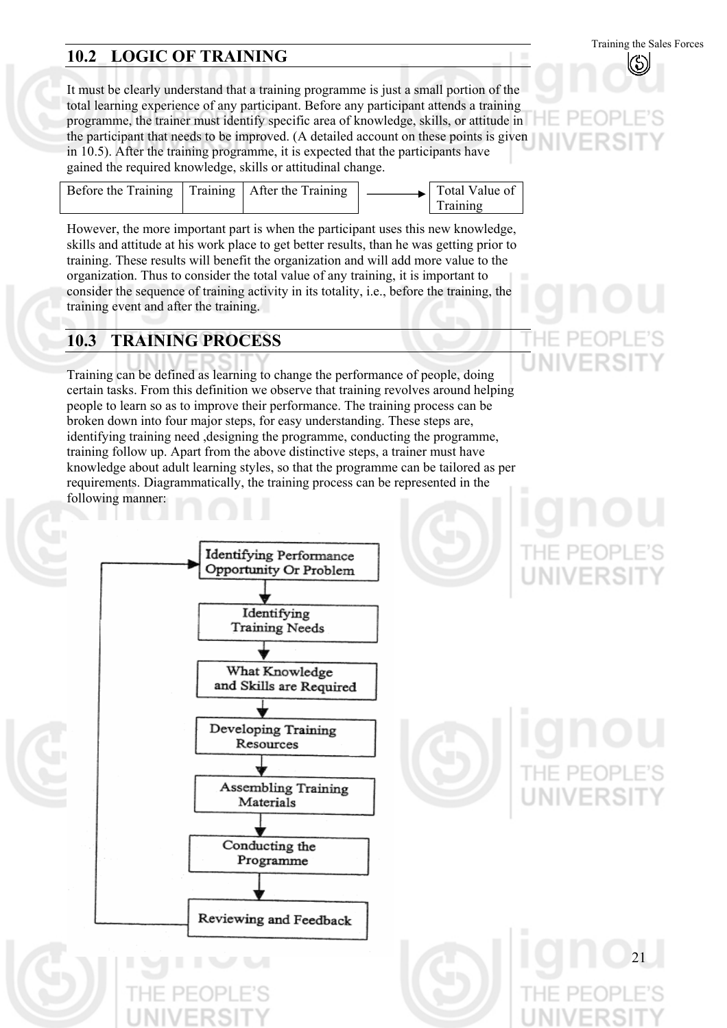## **10.2 LOGIC OF TRAINING**

It must be clearly understand that a training programme is just a small portion of the total learning experience of any participant. Before any participant attends a training programme, the trainer must identify specific area of knowledge, skills, or attitude in the participant that needs to be improved. (A detailed account on these points is given in 10.5). After the training programme, it is expected that the participants have gained the required knowledge, skills or attitudinal change.

| Before the Training   Training   After the Training |  |  |  | $\rightarrow$ Total Value of<br>Training |  |
|-----------------------------------------------------|--|--|--|------------------------------------------|--|
|-----------------------------------------------------|--|--|--|------------------------------------------|--|

However, the more important part is when the participant uses this new knowledge, skills and attitude at his work place to get better results, than he was getting prior to training. These results will benefit the organization and will add more value to the organization. Thus to consider the total value of any training, it is important to consider the sequence of training activity in its totality, i.e., before the training, the training event and after the training.

#### **10.3 TRAINING PROCESS**

Training can be defined as learning to change the performance of people, doing certain tasks. From this definition we observe that training revolves around helping people to learn so as to improve their performance. The training process can be broken down into four major steps, for easy understanding. These steps are, identifying training need ,designing the programme, conducting the programme, training follow up. Apart from the above distinctive steps, a trainer must have knowledge about adult learning styles, so that the programme can be tailored as per requirements. Diagrammatically, the training process can be represented in the following manner:

Identifying Performance Opportunity Or Problem Identifying **Training Needs** What Knowledge and Skills are Required Developing Training Resources Assembling Training Materials Conducting the Programme Reviewing and Feedback

21

Training the Sales Forces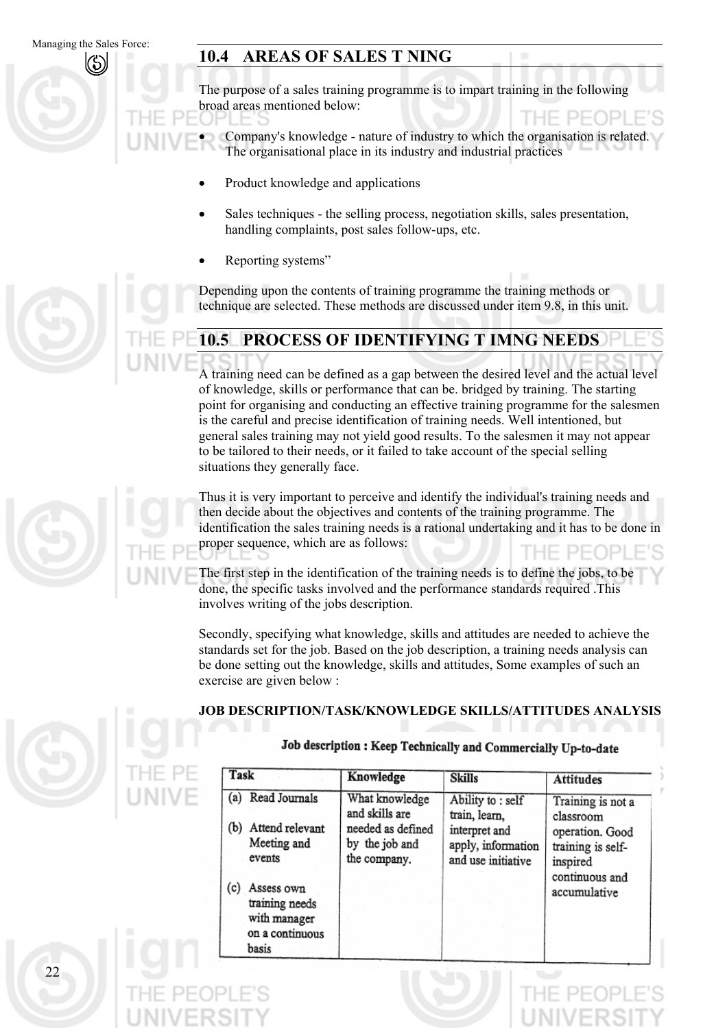#### **10.4 AREAS OF SALES T NING**

The purpose of a sales training programme is to impart training in the following broad areas mentioned below:

Company's knowledge - nature of industry to which the organisation is related. The organisational place in its industry and industrial practices •

- Product knowledge and applications
- Sales techniques - the selling process, negotiation skills, sales presentation, handling complaints, post sales follow-ups, etc.
- Reporting systems"

Depending upon the contents of training programme the training methods or technique are selected. These methods are discussed under item 9.8, in this unit.

# **10.5 PROCESS OF IDENTIFYING T IMNG NEEDS**

A training need can be defined as a gap between the desired level and the actual level of knowledge, skills or performance that can be. bridged by training. The starting point for organising and conducting an effective training programme for the salesmen is the careful and precise identification of training needs. Well intentioned, but general sales training may not yield good results. To the salesmen it may not appear to be tailored to their needs, or it failed to take account of the special selling situations they generally face.

Thus it is very important to perceive and identify the individual's training needs and then decide about the objectives and contents of the training programme. The identification the sales training needs is a rational undertaking and it has to be done in proper sequence, which are as follows:

The first step in the identification of the training needs is to define the jobs, to be done, the specific tasks involved and the performance standards required .This involves writing of the jobs description.

Secondly, specifying what knowledge, skills and attitudes are needed to achieve the standards set for the job. Based on the job description, a training needs analysis can be done setting out the knowledge, skills and attitudes, Some examples of such an exercise are given below :

#### **JOB DESCRIPTION/TASK/KNOWLEDGE SKILLS/ATTITUDES ANALYSIS**

#### Job description : Keep Technically and Commercially Up-to-date

| Task                                  | Knowledge                           | <b>Skills</b>                       | <b>Attitudes</b>               |
|---------------------------------------|-------------------------------------|-------------------------------------|--------------------------------|
| (a) Read Journals                     | What knowledge<br>and skills are    | Ability to: self<br>train, learn,   | Training is not a<br>classroom |
| Attend relevant<br>(b)<br>Meeting and | needed as defined<br>by the job and | interpret and<br>apply, information | operation. Good                |
| events                                | the company.                        | and use initiative                  | training is self-<br>inspired  |
| Assess own                            |                                     |                                     | continuous and                 |
| training needs                        |                                     |                                     | accumulative                   |
| with manager                          |                                     |                                     |                                |
| on a continuous<br>basis              |                                     |                                     |                                |



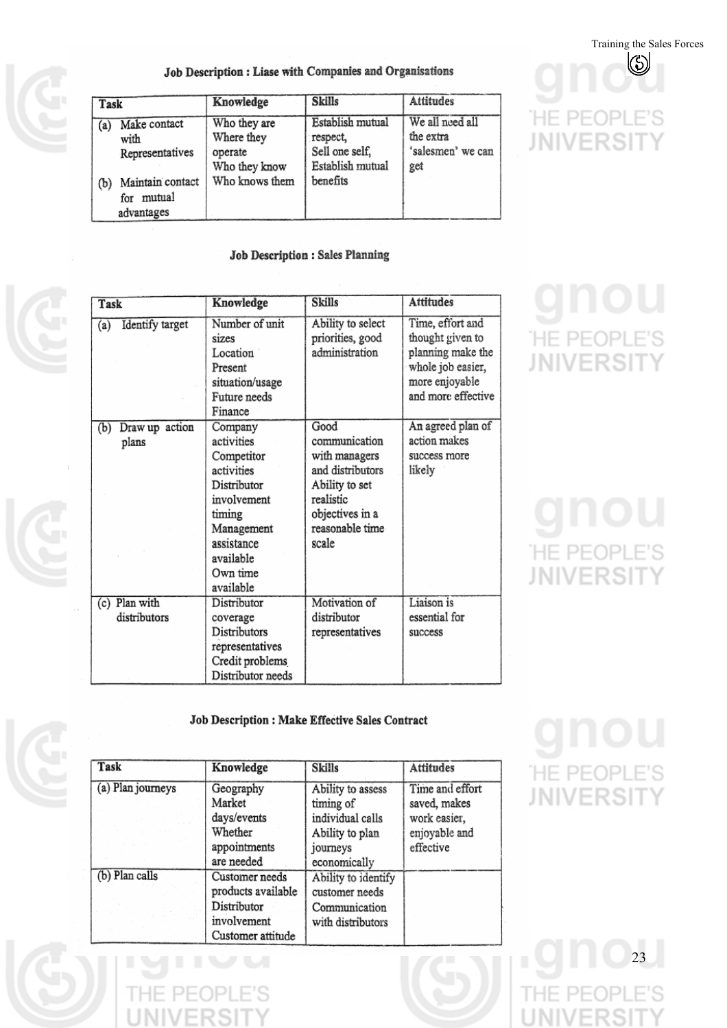Training the Sales Forces  $\mathbb{S}$ 

='S

)P

#### Job Description : Liase with Companies and Organisations

| Task |                                                 | Knowledge                                              | <b>Skills</b>                                                      | <b>Attitudes</b>                                         |
|------|-------------------------------------------------|--------------------------------------------------------|--------------------------------------------------------------------|----------------------------------------------------------|
| (a)  | Make contact<br>with<br>Representatives         | Who they are<br>Where they<br>operate<br>Who they know | Establish mutual<br>respect,<br>Sell one self,<br>Establish mutual | We all need all<br>the extra<br>'salesmen' we can<br>get |
| (b)  | Maintain contact<br>mutual<br>for<br>advantages | Who knows them                                         | benefits                                                           |                                                          |

#### Job Description : Sales Planning

| Task                           | Knowledge                                                                                                                                                   | <b>Skills</b>                                                                                                                            | <b>Attitudes</b>                                                                                                       |
|--------------------------------|-------------------------------------------------------------------------------------------------------------------------------------------------------------|------------------------------------------------------------------------------------------------------------------------------------------|------------------------------------------------------------------------------------------------------------------------|
| Identify target<br>(a)         | Number of unit<br>sizes<br>Location<br>Present<br>situation/usage<br>Future needs<br>Finance                                                                | Ability to select<br>priorities, good<br>administration                                                                                  | Time, effort and<br>thought given to<br>planning make the<br>whole job easier,<br>more enjoyable<br>and more effective |
| Draw up action<br>(b)<br>plans | Company<br>activities<br>Competitor<br>activities<br>Distributor<br>involvement<br>timing<br>Management<br>assistance<br>available<br>Own time<br>available | Good<br>communication<br>with managers<br>and distributors<br>Ability to set<br>realistic<br>objectives in a<br>reasonable time<br>scale | An agreed plan of<br>action makes<br>success more<br>likely                                                            |
| (c) Plan with<br>distributors  | Distributor<br>coverage<br>Distributors<br>representatives<br>Credit problems<br>Distributor needs                                                          | Motivation of<br>distributor<br>representatives                                                                                          | Liaison is<br>essential for<br>success                                                                                 |

#### Job Description : Make Effective Sales Contract

| Task              | Knowledge          | <b>Skills</b>       | Attitudes       |
|-------------------|--------------------|---------------------|-----------------|
| (a) Plan journeys | Geography          | Ability to assess   | Time and effort |
|                   | Market             | timing of           | saved, makes    |
|                   | days/events        | individual calls    | work easier,    |
|                   | Whether            | Ability to plan     | enjoyable and   |
|                   | appointments       | journeys            | effective       |
|                   | are needed         | economically        |                 |
| (b) Plan calls    | Customer needs     | Ability to identify |                 |
|                   | products available | customer needs      |                 |
|                   | Distributor        | Communication       |                 |
|                   | involvement        | with distributors   |                 |
|                   | Customer attitude  |                     |                 |

# **HE PEOPLE'S JNIVERSIT** Υ

HE PE

**JNIVERSI** 

# **HE PEOPLE'S JNIVERSIT**

**HE PEOPLE'S JNIVERSIT**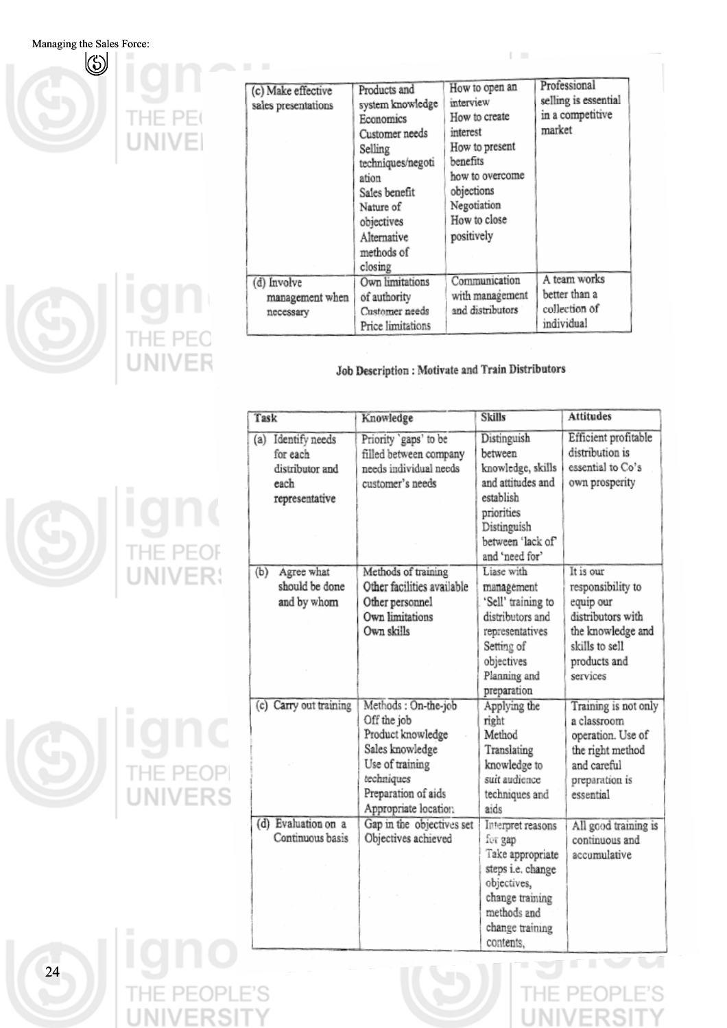

**ign** 

| (c) Make effective<br>sales presentations   | Products and<br>system knowledge<br>Economics<br>Customer needs<br>Selling<br>techniques/negoti<br>ation<br>Sales benefit<br>Nature of<br>objectives<br>Alternative<br>methods of<br>closing | How to open an<br>interview<br>How to create<br>interest<br>How to present<br>benefits<br>how to overcome<br>objections<br>Negotiation<br>How to close<br>positively | Professional<br>selling is essential<br>in a competitive<br>market |
|---------------------------------------------|----------------------------------------------------------------------------------------------------------------------------------------------------------------------------------------------|----------------------------------------------------------------------------------------------------------------------------------------------------------------------|--------------------------------------------------------------------|
| (d) Involve<br>management when<br>necessary | Own limitations<br>of authority<br>Customer needs<br>Price limitations                                                                                                                       | Communication<br>with management<br>and distributors                                                                                                                 | A team works<br>better than a<br>collection of<br>individual       |

#### Job Description : Motivate and Train Distributors

| Task                                                                           | Knowledge                                                                                                                                                  | <b>Skills</b>                                                                                                                                         | <b>Attitudes</b>                                                                                                           |
|--------------------------------------------------------------------------------|------------------------------------------------------------------------------------------------------------------------------------------------------------|-------------------------------------------------------------------------------------------------------------------------------------------------------|----------------------------------------------------------------------------------------------------------------------------|
| Identify needs<br>(a)<br>for each<br>distributor and<br>each<br>representative | Priority 'gaps' to be<br>filled between company<br>needs individual needs<br>customer's needs                                                              | Distinguish<br>between<br>knowledge, skills<br>and attitudes and<br>establish<br>priorities<br>Distinguish<br>between 'lack of'                       | Efficient profitable<br>distribution is<br>essential to Co's<br>own prosperity                                             |
| (b)<br>Agree what<br>should be done                                            | Methods of training<br>Other facilities available                                                                                                          | and 'need for'<br>Liase with<br>management                                                                                                            | It is our<br>responsibility to                                                                                             |
| and by whom                                                                    | Other personnel<br>Own limitations<br>Own skills                                                                                                           | 'Sell' training to<br>distributors and<br>representatives<br>Setting of<br>objectives<br>Planning and<br>preparation                                  | equip our<br>distributors with<br>the knowledge and<br>skills to sell<br>products and<br>services                          |
| (c) Carry out training                                                         | Methods: On-the-job<br>Off the job<br>Product knowledge<br>Sales knowledge<br>Use of training<br>techniques<br>Preparation of aids<br>Appropriate location | Applying the<br>right<br>Method<br>Translating<br>knowledge to<br>suit audience<br>techniques and<br>aids                                             | Training is not only<br>a classroom<br>operation. Use of<br>the right method<br>and careful<br>preparation is<br>essential |
| (d) Evaluation on a<br>Continuous basis                                        | Gap in the objectives set<br>Objectives achieved                                                                                                           | Interpret reasons<br>for gap<br>Take appropriate<br>steps i.e. change<br>objectives,<br>change training<br>methods and<br>change training<br>contents | All good training is<br>continuous and<br>accomulative                                                                     |

**ION** 



'S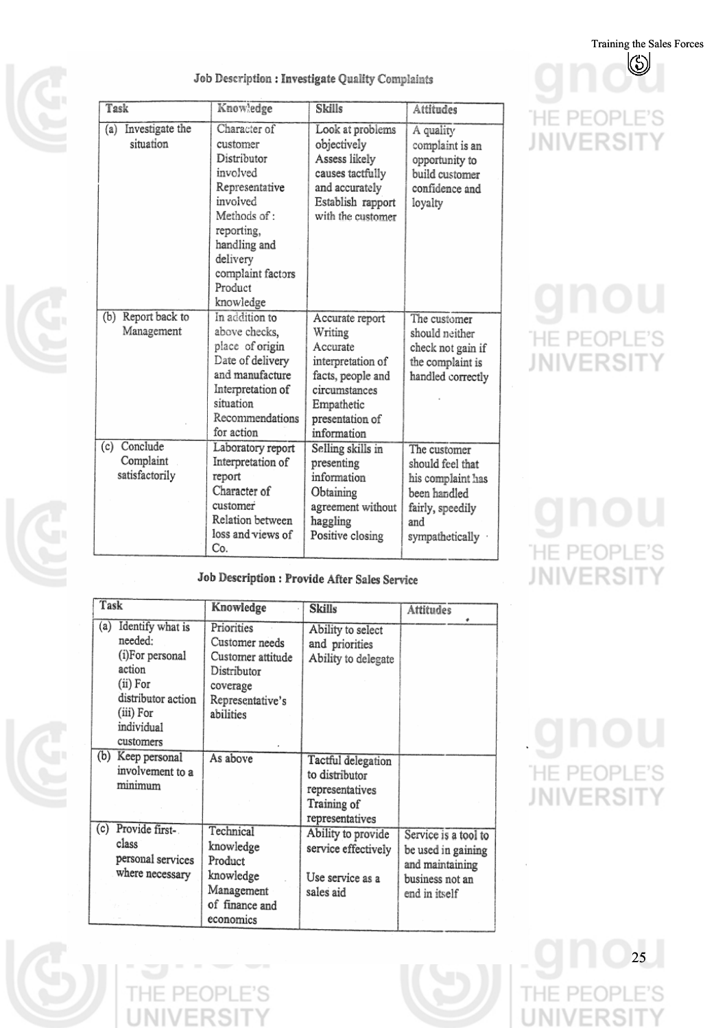$\mathcal{S}$ 

#### Job Description : Investigate Quality Complaints

| Task                                        | Knowledge                                                                                                                                                                                | Skills                                                                                                                                            | Attitudes                                                                                                             |
|---------------------------------------------|------------------------------------------------------------------------------------------------------------------------------------------------------------------------------------------|---------------------------------------------------------------------------------------------------------------------------------------------------|-----------------------------------------------------------------------------------------------------------------------|
| Investigate the<br>(a)<br>situation         | Character of<br>customer<br>Distributor<br>involved<br>Representative<br>involved<br>Methods of :<br>reporting,<br>handling and<br>delivery<br>complaint factors<br>Product<br>knowledge | Look at problems<br>objectively<br>Assess likely<br>causes tactfully<br>and accurately<br>Establish rapport<br>with the customer                  | A quality<br>complaint is an<br>opportunity to<br>build customer<br>confidence and<br>loyalty                         |
| Report back to<br>(b)<br>Management         | In addition to<br>above checks,<br>place of origin<br>Date of delivery<br>and manufacture<br>Interpretation of<br>situation<br>Recommendations<br>for action                             | Accurate report<br>Writing<br>Accurate<br>interpretation of<br>facts, people and<br>circumstances<br>Empathetic<br>presentation of<br>information | The customer<br>should neither<br>check not gain if<br>the complaint is<br>handled correctly                          |
| (c) Conclude<br>Complaint<br>satisfactorily | Laboratory report<br>Interpretation of<br>report<br>Character of<br>customer<br>Relation between<br>loss and views of<br>Co.                                                             | Selling skills in<br>presenting<br>information<br>Obtaining<br>agreement without<br>haggling<br>Positive closing                                  | The customer<br>should feel that<br>his complaint has<br>been handled<br>fairly, speedily<br>and<br>sympathetically · |

Job Description : Provide After Sales Service

| Task                                                                                                                                      | Knowledge                                                                                                     | <b>Skills</b>                                                                             | <b>Attitudes</b>                                                                                  |
|-------------------------------------------------------------------------------------------------------------------------------------------|---------------------------------------------------------------------------------------------------------------|-------------------------------------------------------------------------------------------|---------------------------------------------------------------------------------------------------|
| Identify what is<br>(a)<br>needed:<br>(i)For personal<br>action<br>(ii) For<br>distributor action<br>(iii) For<br>individual<br>customers | Priorities<br>Customer needs<br>Customer attitude<br>Distributor<br>coverage<br>Representative's<br>abilities | Ability to select<br>and priorities<br>Ability to delegate                                |                                                                                                   |
| (b)<br>Keep personal<br>involvement to a<br>minimum                                                                                       | As above                                                                                                      | Tactful delegation<br>to distributor<br>representatives<br>Training of<br>representatives |                                                                                                   |
| Provide first-<br>(c)<br>class<br>personal services<br>where necessary                                                                    | Technical<br>knowledge<br>Product<br>knowledge<br>Management<br>of finance and<br>economics                   | Ability to provide<br>service effectively<br>Use service as a<br>sales aid                | Service is a tool to<br>be used in gaining<br>and maintaining<br>business not an<br>end in itself |

 $\mathsf{PF}($ 

## **HE PEOPLE'S JNIVERSIT** Υ

**HE PEOPLE'S JNIVERSIT** Υ

# **HE PEOPLE'S JNIVERSIT**

# **HE PEOPLE'S JNIVERSIT** Υ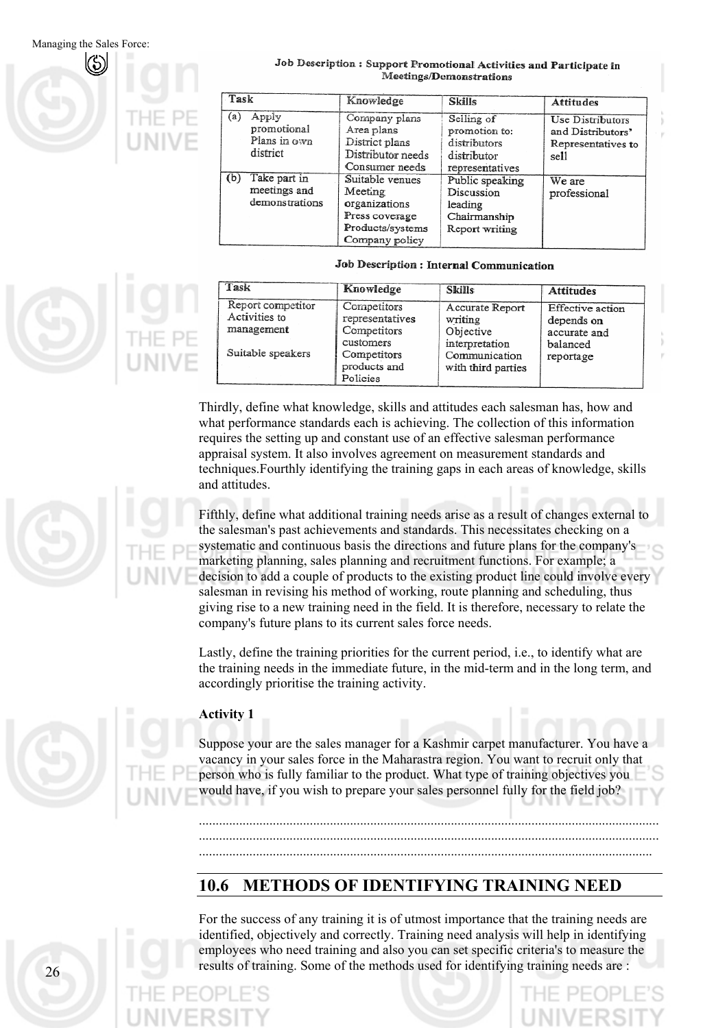

#### Job Description : Support Promotional Activities and Participate in Meetings/Demonstrations

| Task |                                                  | Knowledge                                                                                           | <b>Skills</b>                                                                 | <b>Attitudes</b>                                                    |
|------|--------------------------------------------------|-----------------------------------------------------------------------------------------------------|-------------------------------------------------------------------------------|---------------------------------------------------------------------|
| (a)  | Apply<br>promotional<br>Plans in own<br>district | Company plans<br>Area plans<br>District plans<br>Distributor needs<br>Consumer needs                | Seiling of<br>promotion to:<br>distributors<br>distributor<br>representatives | Use Distributors<br>and Distributors'<br>Representatives to<br>sell |
| (b)  | Take part in<br>meetings and<br>demonstrations   | Suitable venues<br>Meeting<br>organizations<br>Press coverage<br>Products/systems<br>Company policy | Public speaking<br>Discussion<br>leading<br>Chairmanship<br>Report writing    | We are<br>professional                                              |

#### Job Description : Internal Communication

| Task                                                                  | Knowledge                                                                                             | <b>Skills</b>                                                                                    | <b>Attitudes</b>                                                               |
|-----------------------------------------------------------------------|-------------------------------------------------------------------------------------------------------|--------------------------------------------------------------------------------------------------|--------------------------------------------------------------------------------|
| Report competitor<br>Activities to<br>management<br>Suitable speakers | Competitors<br>representatives<br>Competitors<br>customers<br>Competitors<br>products and<br>Policies | Accurate Report<br>writing<br>Objective<br>interpretation<br>Communication<br>with third parties | <b>Effective</b> action<br>depends on<br>accurate and<br>balanced<br>reportage |

Thirdly, define what knowledge, skills and attitudes each salesman has, how and what performance standards each is achieving. The collection of this information requires the setting up and constant use of an effective salesman performance appraisal system. It also involves agreement on measurement standards and techniques.Fourthly identifying the training gaps in each areas of knowledge, skills and attitudes.

Fifthly, define what additional training needs arise as a result of changes external to the salesman's past achievements and standards. This necessitates checking on a systematic and continuous basis the directions and future plans for the company's marketing planning, sales planning and recruitment functions. For example; a decision to add a couple of products to the existing product line could involve every salesman in revising his method of working, route planning and scheduling, thus giving rise to a new training need in the field. It is therefore, necessary to relate the company's future plans to its current sales force needs.

Lastly, define the training priorities for the current period, i.e., to identify what are the training needs in the immediate future, in the mid-term and in the long term, and accordingly prioritise the training activity.



#### **Activity 1**

Suppose your are the sales manager for a Kashmir carpet manufacturer. You have a vacancy in your sales force in the Maharastra region. You want to recruit only that person who is fully familiar to the product. What type of training objectives you would have, if you wish to prepare your sales personnel fully for the field job?

......................................................................................................................................... ......................................................................................................................................... .......................................................................................................................................

#### **10.6 METHODS OF IDENTIFYING TRAINING NEED**

For the success of any training it is of utmost importance that the training needs are identified, objectively and correctly. Training need analysis will help in identifying employees who need training and also you can set specific criteria's to measure the results of training. Some of the methods used for identifying training needs are :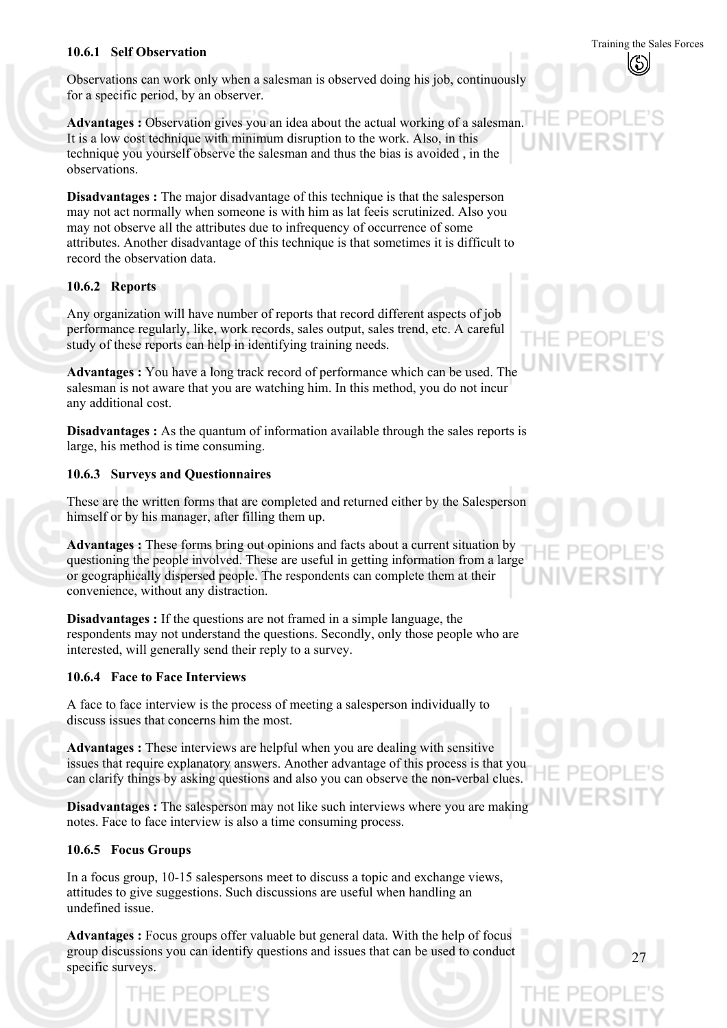### Training the Sales Forces **10.6.1 Self Observation**

Observations can work only when a salesman is observed doing his job, continuously for a specific period, by an observer.

**Advantages :** Observation gives you an idea about the actual working of a salesman. It is a low cost technique with minimum disruption to the work. Also, in this technique you yourself observe the salesman and thus the bias is avoided , in the observations.

**Disadvantages :** The major disadvantage of this technique is that the salesperson may not act normally when someone is with him as lat feeis scrutinized. Also you may not observe all the attributes due to infrequency of occurrence of some attributes. Another disadvantage of this technique is that sometimes it is difficult to record the observation data.

#### **10.6.2 Reports**

Any organization will have number of reports that record different aspects of job performance regularly, like, work records, sales output, sales trend, etc. A careful study of these reports can help in identifying training needs.

**Advantages :** You have a long track record of performance which can be used. The salesman is not aware that you are watching him. In this method, you do not incur any additional cost.

**Disadvantages :** As the quantum of information available through the sales reports is large, his method is time consuming.

#### **10.6.3 Surveys and Questionnaires**

These are the written forms that are completed and returned either by the Salesperson himself or by his manager, after filling them up.

**Advantages :** These forms bring out opinions and facts about a current situation by questioning the people involved. These are useful in getting information from a large or geographically dispersed people. The respondents can complete them at their convenience, without any distraction.

**Disadvantages :** If the questions are not framed in a simple language, the respondents may not understand the questions. Secondly, only those people who are interested, will generally send their reply to a survey.

#### **10.6.4 Face to Face Interviews**

A face to face interview is the process of meeting a salesperson individually to discuss issues that concerns him the most.

**Advantages :** These interviews are helpful when you are dealing with sensitive issues that require explanatory answers. Another advantage of this process is that you can clarify things by asking questions and also you can observe the non-verbal clues.

**Disadvantages :** The salesperson may not like such interviews where you are making notes. Face to face interview is also a time consuming process.

#### **10.6.5 Focus Groups**

In a focus group, 10-15 salespersons meet to discuss a topic and exchange views, attitudes to give suggestions. Such discussions are useful when handling an undefined issue.

**Advantages :** Focus groups offer valuable but general data. With the help of focus group discussions you can identify questions and issues that can be used to conduct specific surveys.

1F PF(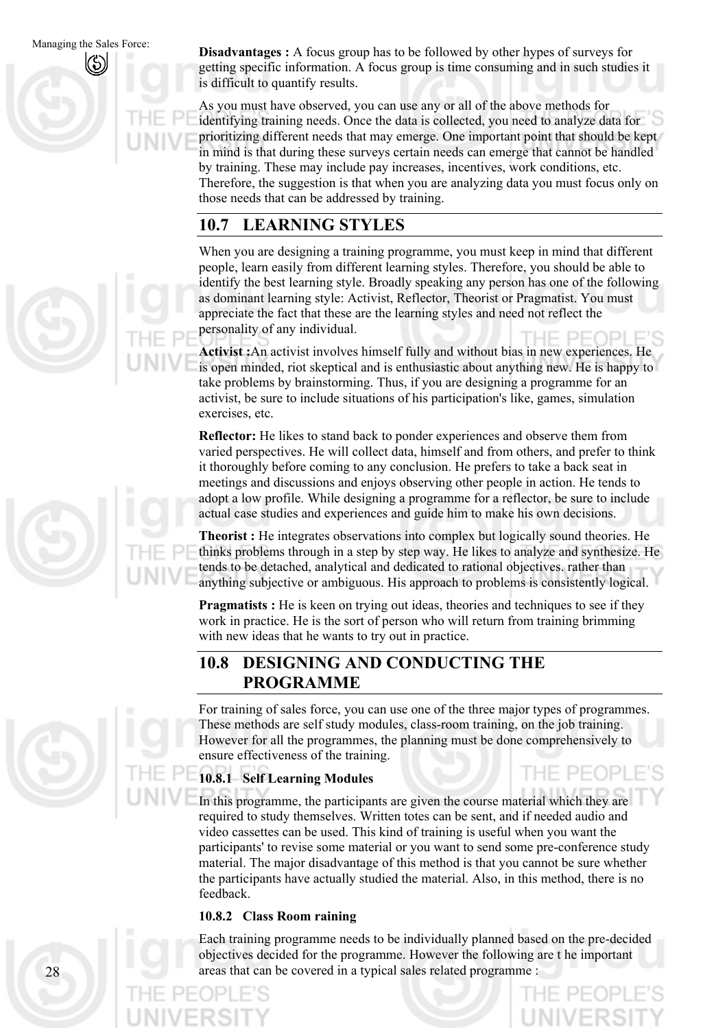Managing the Sales Force: **Disadvantages :** A focus group has to be followed by other hypes of surveys for getting specific information. A focus group is time consuming and in such studies it is difficult to quantify results.

> As you must have observed, you can use any or all of the above methods for identifying training needs. Once the data is collected, you need to analyze data for prioritizing different needs that may emerge. One important point that should be kept in mind is that during these surveys certain needs can emerge that cannot be handled by training. These may include pay increases, incentives, work conditions, etc. Therefore, the suggestion is that when you are analyzing data you must focus only on those needs that can be addressed by training.

#### **10.7 LEARNING STYLES**

When you are designing a training programme, you must keep in mind that different people, learn easily from different learning styles. Therefore, you should be able to identify the best learning style. Broadly speaking any person has one of the following as dominant learning style: Activist, Reflector, Theorist or Pragmatist. You must appreciate the fact that these are the learning styles and need not reflect the personality of any individual.

**Activist :**An activist involves himself fully and without bias in new experiences. He is open minded, riot skeptical and is enthusiastic about anything new. He is happy to take problems by brainstorming. Thus, if you are designing a programme for an activist, be sure to include situations of his participation's like, games, simulation exercises, etc.

**Reflector:** He likes to stand back to ponder experiences and observe them from varied perspectives. He will collect data, himself and from others, and prefer to think it thoroughly before coming to any conclusion. He prefers to take a back seat in meetings and discussions and enjoys observing other people in action. He tends to adopt a low profile. While designing a programme for a reflector, be sure to include actual case studies and experiences and guide him to make his own decisions.

**Theorist :** He integrates observations into complex but logically sound theories. He thinks problems through in a step by step way. He likes to analyze and synthesize. He tends to be detached, analytical and dedicated to rational objectives. rather than anything subjective or ambiguous. His approach to problems is consistently logical.

**Pragmatists :** He is keen on trying out ideas, theories and techniques to see if they work in practice. He is the sort of person who will return from training brimming with new ideas that he wants to try out in practice.

#### **10.8 DESIGNING AND CONDUCTING THE PROGRAMME**

For training of sales force, you can use one of the three major types of programmes. These methods are self study modules, class-room training, on the job training. However for all the programmes, the planning must be done comprehensively to ensure effectiveness of the training.

#### **10.8.1 Self Learning Modules**

In this programme, the participants are given the course material which they are required to study themselves. Written totes can be sent, and if needed audio and video cassettes can be used. This kind of training is useful when you want the participants' to revise some material or you want to send some pre-conference study material. The major disadvantage of this method is that you cannot be sure whether the participants have actually studied the material. Also, in this method, there is no feedback.

#### **10.8.2 Class Room raining**

Each training programme needs to be individually planned based on the pre-decided objectives decided for the programme. However the following are t he important areas that can be covered in a typical sales related programme :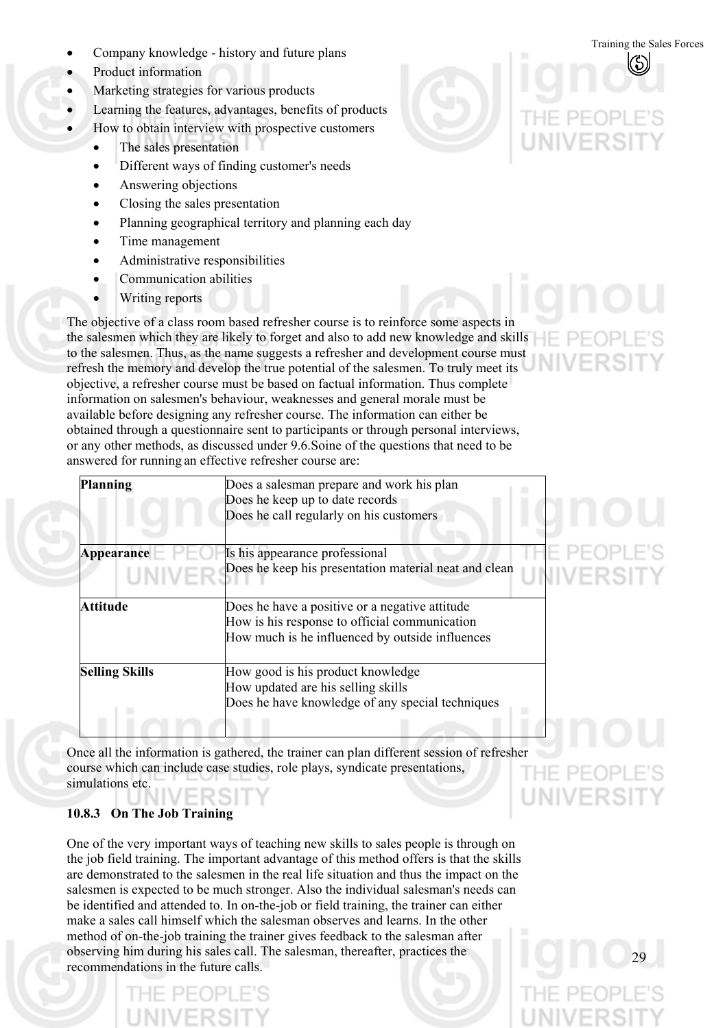- Training the Sales Forces Company knowledge history and future plans
- Product information
- Marketing strategies for various products
- Learning the features, advantages, benefits of products
- How to obtain interview with prospective customers
	- The sales presentation
	- Different ways of finding customer's needs
	- Answering objections
	- Closing the sales presentation
	- Planning geographical territory and planning each day
	- Time management
	- Administrative responsibilities
	- Communication abilities
	- Writing reports

The objective of a class room based refresher course is to reinforce some aspects in the salesmen which they are likely to forget and also to add new knowledge and skills to the salesmen. Thus, as the name suggests a refresher and development course must refresh the memory and develop the true potential of the salesmen. To truly meet its objective, a refresher course must be based on factual information. Thus complete information on salesmen's behaviour, weaknesses and general morale must be available before designing any refresher course. The information can either be obtained through a questionnaire sent to participants or through personal interviews, or any other methods, as discussed under 9.6.Soine of the questions that need to be answered for running an effective refresher course are:

| <b>Planning</b>            | Does a salesman prepare and work his plan<br>Does he keep up to date records<br>Does he call regularly on his customers                            |                        |
|----------------------------|----------------------------------------------------------------------------------------------------------------------------------------------------|------------------------|
| Appearance<br><b>UNIVE</b> | Is his appearance professional<br>Does he keep his presentation material neat and clean                                                            | PFOPLE'S<br>UNIVERSITY |
| <b>Attitude</b>            | Does he have a positive or a negative attitude<br>How is his response to official communication<br>How much is he influenced by outside influences |                        |
| <b>Selling Skills</b>      | How good is his product knowledge<br>How updated are his selling skills<br>Does he have knowledge of any special techniques                        |                        |

Once all the information is gathered, the trainer can plan different session of refresher course which can include case studies, role plays, syndicate presentations, simulations etc.

#### **10.8.3 On The Job Training**

One of the very important ways of teaching new skills to sales people is through on the job field training. The important advantage of this method offers is that the skills are demonstrated to the salesmen in the real life situation and thus the impact on the salesmen is expected to be much stronger. Also the individual salesman's needs can be identified and attended to. In on-the-job or field training, the trainer can either make a sales call himself which the salesman observes and learns. In the other method of on-the-job training the trainer gives feedback to the salesman after observing him during his sales call. The salesman, thereafter, practices the recommendations in the future calls.



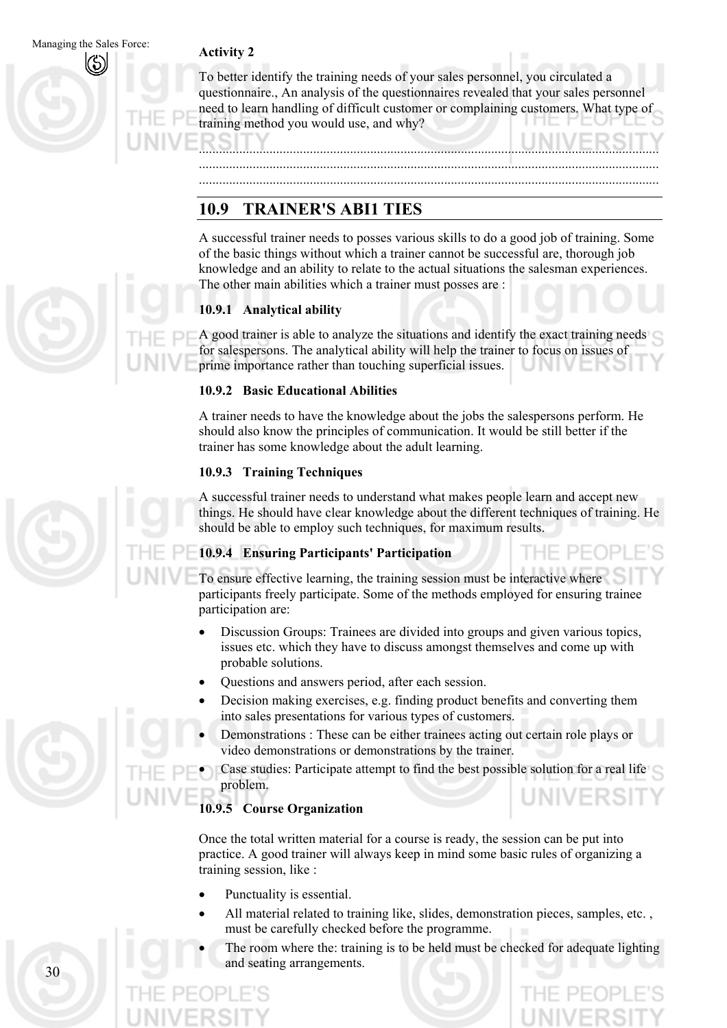To better identify the training needs of your sales personnel, you circulated a questionnaire., An analysis of the questionnaires revealed that your sales personnel need to learn handling of difficult customer or complaining customers. What type of training method you would use, and why?

......................................................................................................................................... ......................................................................................................................................... .........................................................................................................................................

#### **10.9 TRAINER'S ABI1 TIES**

A successful trainer needs to posses various skills to do a good job of training. Some of the basic things without which a trainer cannot be successful are, thorough job knowledge and an ability to relate to the actual situations the salesman experiences. The other main abilities which a trainer must posses are :

#### **10.9.1 Analytical ability**

A good trainer is able to analyze the situations and identify the exact training needs for salespersons. The analytical ability will help the trainer to focus on issues of prime importance rather than touching superficial issues.

#### **10.9.2 Basic Educational Abilities**

A trainer needs to have the knowledge about the jobs the salespersons perform. He should also know the principles of communication. It would be still better if the trainer has some knowledge about the adult learning.

#### **10.9.3 Training Techniques**

A successful trainer needs to understand what makes people learn and accept new things. He should have clear knowledge about the different techniques of training. He should be able to employ such techniques, for maximum results.

#### **10.9.4 Ensuring Participants' Participation**

To ensure effective learning, the training session must be interactive where participants freely participate. Some of the methods employed for ensuring trainee participation are:

- Discussion Groups: Trainees are divided into groups and given various topics, issues etc. which they have to discuss amongst themselves and come up with probable solutions. •
- Questions and answers period, after each session.
- Decision making exercises, e.g. finding product benefits and converting them into sales presentations for various types of customers.
- Demonstrations : These can be either trainees acting out certain role plays or video demonstrations or demonstrations by the trainer.
- Case studies: Participate attempt to find the best possible solution for a real life problem.

#### **10.9.5 Course Organization**

Once the total written material for a course is ready, the session can be put into practice. A good trainer will always keep in mind some basic rules of organizing a training session, like :

- Punctuality is essential.
- All material related to training like, slides, demonstration pieces, samples, etc. , must be carefully checked before the programme.
- The room where the: training is to be held must be checked for adequate lighting and seating arrangements.